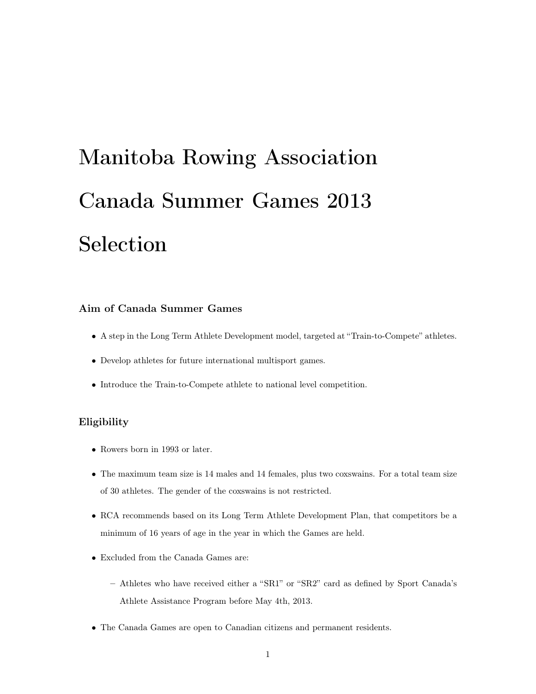# Manitoba Rowing Association Canada Summer Games 2013 Selection

# Aim of Canada Summer Games

- A step in the Long Term Athlete Development model, targeted at "Train-to-Compete" athletes.
- *•* Develop athletes for future international multisport games.
- *•* Introduce the Train-to-Compete athlete to national level competition.

# Eligibility

- *•* Rowers born in 1993 or later.
- The maximum team size is 14 males and 14 females, plus two coxswains. For a total team size of 30 athletes. The gender of the coxswains is not restricted.
- RCA recommends based on its Long Term Athlete Development Plan, that competitors be a minimum of 16 years of age in the year in which the Games are held.
- *•* Excluded from the Canada Games are:
	- Athletes who have received either a "SR1" or "SR2" card as defined by Sport Canada's Athlete Assistance Program before May 4th, 2013.
- *•* The Canada Games are open to Canadian citizens and permanent residents.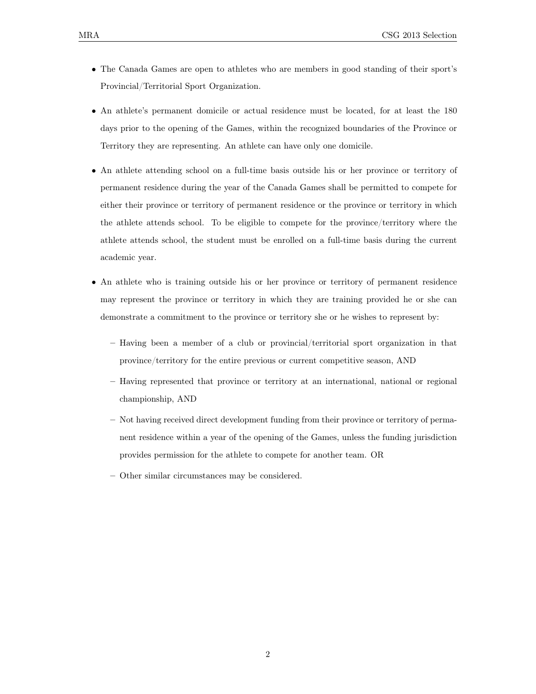- The Canada Games are open to athletes who are members in good standing of their sport's Provincial/Territorial Sport Organization.
- An athlete's permanent domicile or actual residence must be located, for at least the 180 days prior to the opening of the Games, within the recognized boundaries of the Province or Territory they are representing. An athlete can have only one domicile.
- An athlete attending school on a full-time basis outside his or her province or territory of permanent residence during the year of the Canada Games shall be permitted to compete for either their province or territory of permanent residence or the province or territory in which the athlete attends school. To be eligible to compete for the province/territory where the athlete attends school, the student must be enrolled on a full-time basis during the current academic year.
- An athlete who is training outside his or her province or territory of permanent residence may represent the province or territory in which they are training provided he or she can demonstrate a commitment to the province or territory she or he wishes to represent by:
	- Having been a member of a club or provincial/territorial sport organization in that province/territory for the entire previous or current competitive season, AND
	- Having represented that province or territory at an international, national or regional championship, AND
	- Not having received direct development funding from their province or territory of permanent residence within a year of the opening of the Games, unless the funding jurisdiction provides permission for the athlete to compete for another team. OR
	- Other similar circumstances may be considered.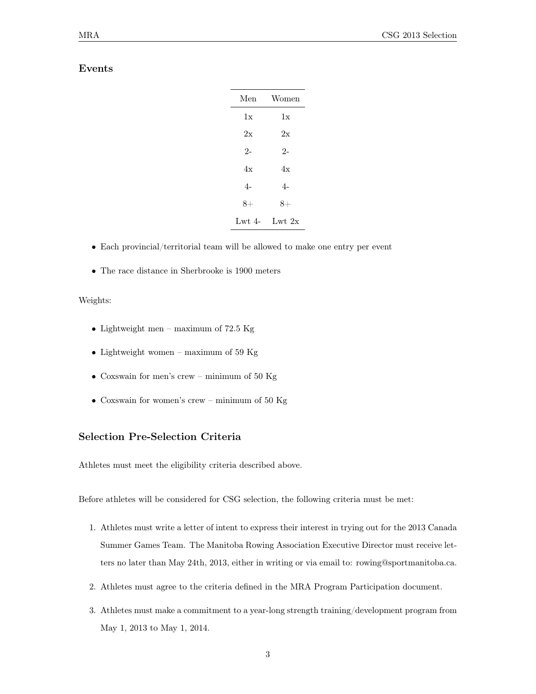## Events

| Men            | Women    |
|----------------|----------|
| 1x             | 1x       |
| 2x             | 2x       |
| $2-$           | $2-$     |
| 4x             | 4x       |
| $\overline{4}$ | 4-       |
| $8+$           | $8+$     |
| Lwt $4-$       | Lwt $2x$ |

- Each provincial/territorial team will be allowed to make one entry per event
- *•* The race distance in Sherbrooke is 1900 meters

#### Weights:

- *•* Lightweight men maximum of 72.5 Kg
- *•* Lightweight women maximum of 59 Kg
- *•* Coxswain for men's crew minimum of 50 Kg
- *•* Coxswain for women's crew minimum of 50 Kg

## Selection Pre-Selection Criteria

Athletes must meet the eligibility criteria described above.

Before athletes will be considered for CSG selection, the following criteria must be met:

- 1. Athletes must write a letter of intent to express their interest in trying out for the 2013 Canada Summer Games Team. The Manitoba Rowing Association Executive Director must receive letters no later than May 24th, 2013, either in writing or via email to: rowing@sportmanitoba.ca.
- 2. Athletes must agree to the criteria defined in the MRA Program Participation document.
- 3. Athletes must make a commitment to a year-long strength training/development program from May 1, 2013 to May 1, 2014.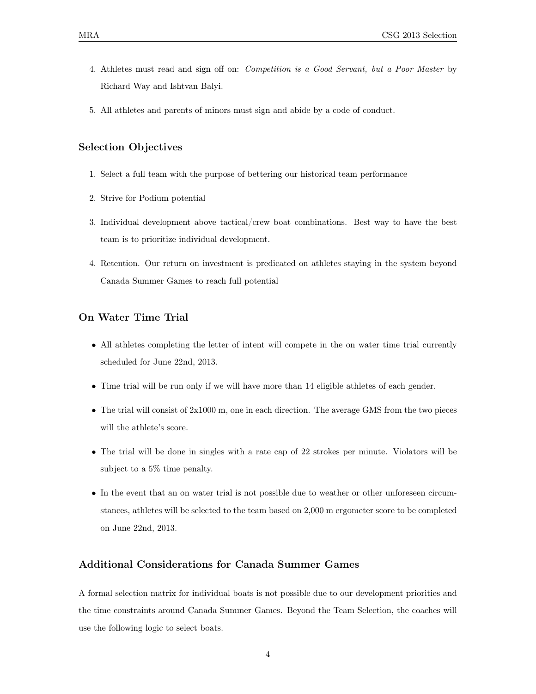- 4. Athletes must read and sign off on: *Competition is a Good Servant, but a Poor Master* by Richard Way and Ishtvan Balyi.
- 5. All athletes and parents of minors must sign and abide by a code of conduct.

## Selection Objectives

- 1. Select a full team with the purpose of bettering our historical team performance
- 2. Strive for Podium potential
- 3. Individual development above tactical/crew boat combinations. Best way to have the best team is to prioritize individual development.
- 4. Retention. Our return on investment is predicated on athletes staying in the system beyond Canada Summer Games to reach full potential

# On Water Time Trial

- All athletes completing the letter of intent will compete in the on water time trial currently scheduled for June 22nd, 2013.
- Time trial will be run only if we will have more than 14 eligible athletes of each gender.
- The trial will consist of 2x1000 m, one in each direction. The average GMS from the two pieces will the athlete's score.
- The trial will be done in singles with a rate cap of 22 strokes per minute. Violators will be subject to a 5% time penalty.
- In the event that an on water trial is not possible due to weather or other unforeseen circumstances, athletes will be selected to the team based on 2,000 m ergometer score to be completed on June 22nd, 2013.

# Additional Considerations for Canada Summer Games

A formal selection matrix for individual boats is not possible due to our development priorities and the time constraints around Canada Summer Games. Beyond the Team Selection, the coaches will use the following logic to select boats.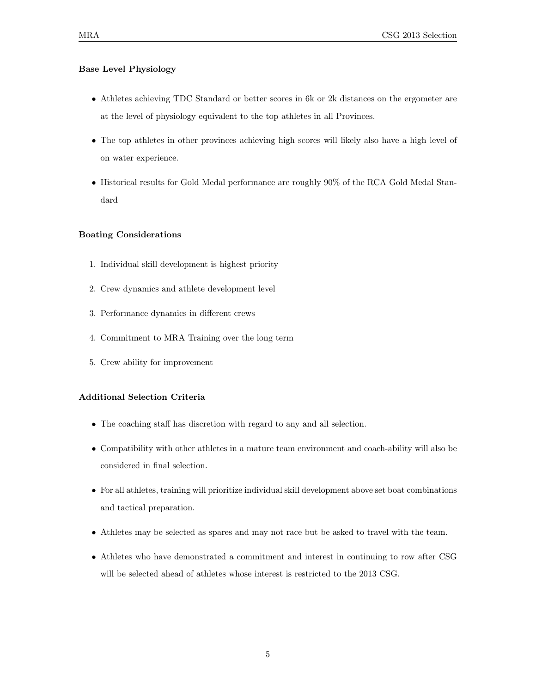## Base Level Physiology

- Athletes achieving TDC Standard or better scores in 6k or 2k distances on the ergometer are at the level of physiology equivalent to the top athletes in all Provinces.
- The top athletes in other provinces achieving high scores will likely also have a high level of on water experience.
- Historical results for Gold Medal performance are roughly 90% of the RCA Gold Medal Standard

#### Boating Considerations

- 1. Individual skill development is highest priority
- 2. Crew dynamics and athlete development level
- 3. Performance dynamics in different crews
- 4. Commitment to MRA Training over the long term
- 5. Crew ability for improvement

## Additional Selection Criteria

- *•* The coaching staff has discretion with regard to any and all selection.
- Compatibility with other athletes in a mature team environment and coach-ability will also be considered in final selection.
- For all athletes, training will prioritize individual skill development above set boat combinations and tactical preparation.
- Athletes may be selected as spares and may not race but be asked to travel with the team.
- Athletes who have demonstrated a commitment and interest in continuing to row after CSG will be selected ahead of athletes whose interest is restricted to the 2013 CSG.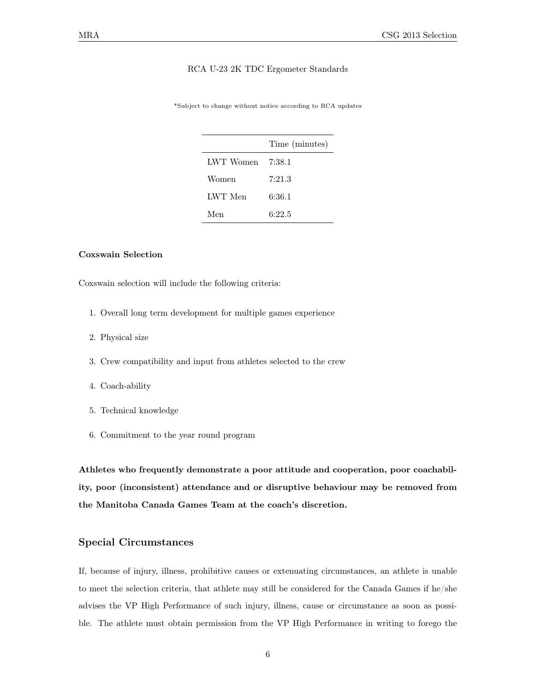#### RCA U-23 2K TDC Ergometer Standards

\*Subject to change without notice according to RCA updates

|           | Time (minutes) |
|-----------|----------------|
| LWT Women | 7:38.1         |
| Women     | 7:21.3         |
| LWT Men   | 6:36.1         |
| Men       | 6:22.5         |

## Coxswain Selection

Coxswain selection will include the following criteria:

- 1. Overall long term development for multiple games experience
- 2. Physical size
- 3. Crew compatibility and input from athletes selected to the crew
- 4. Coach-ability
- 5. Technical knowledge
- 6. Commitment to the year round program

Athletes who frequently demonstrate a poor attitude and cooperation, poor coachability, poor (inconsistent) attendance and or disruptive behaviour may be removed from the Manitoba Canada Games Team at the coach's discretion.

## Special Circumstances

If, because of injury, illness, prohibitive causes or extenuating circumstances, an athlete is unable to meet the selection criteria, that athlete may still be considered for the Canada Games if he/she advises the VP High Performance of such injury, illness, cause or circumstance as soon as possible. The athlete must obtain permission from the VP High Performance in writing to forego the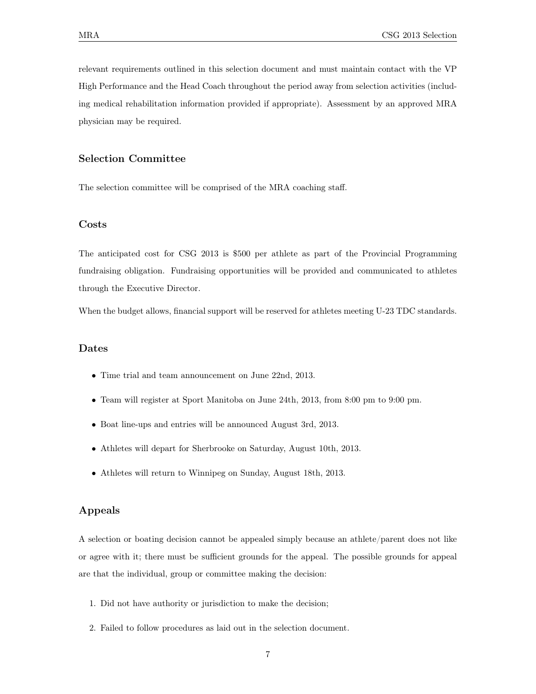relevant requirements outlined in this selection document and must maintain contact with the VP High Performance and the Head Coach throughout the period away from selection activities (including medical rehabilitation information provided if appropriate). Assessment by an approved MRA physician may be required.

# Selection Committee

The selection committee will be comprised of the MRA coaching staff.

## Costs

The anticipated cost for CSG 2013 is \$500 per athlete as part of the Provincial Programming fundraising obligation. Fundraising opportunities will be provided and communicated to athletes through the Executive Director.

When the budget allows, financial support will be reserved for athletes meeting U-23 TDC standards.

## Dates

- *•* Time trial and team announcement on June 22nd, 2013.
- Team will register at Sport Manitoba on June 24th, 2013, from 8:00 pm to 9:00 pm.
- *•* Boat line-ups and entries will be announced August 3rd, 2013.
- *•* Athletes will depart for Sherbrooke on Saturday, August 10th, 2013.
- *•* Athletes will return to Winnipeg on Sunday, August 18th, 2013.

## Appeals

A selection or boating decision cannot be appealed simply because an athlete/parent does not like or agree with it; there must be sufficient grounds for the appeal. The possible grounds for appeal are that the individual, group or committee making the decision:

- 1. Did not have authority or jurisdiction to make the decision;
- 2. Failed to follow procedures as laid out in the selection document.